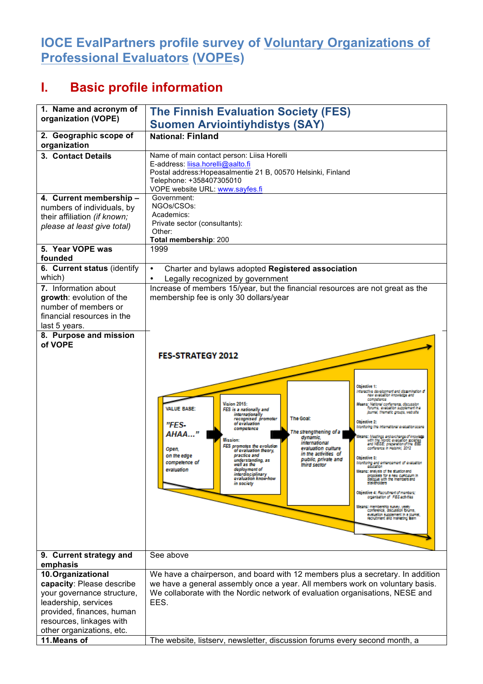## **IOCE EvalPartners profile survey of Voluntary Organizations of Professional Evaluators (VOPEs)**

## **I. Basic profile information**

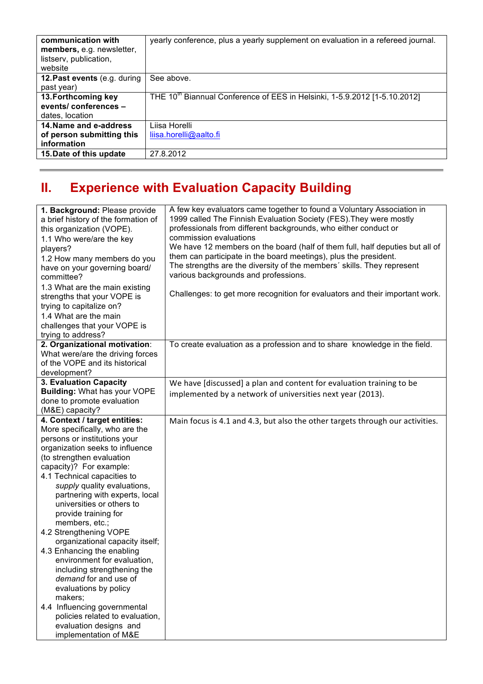| communication with<br>members, e.g. newsletter,<br>listserv, publication,<br>website | yearly conference, plus a yearly supplement on evaluation in a refereed journal.      |
|--------------------------------------------------------------------------------------|---------------------------------------------------------------------------------------|
| 12. Past events (e.g. during                                                         | See above.                                                                            |
| past year)                                                                           |                                                                                       |
| 13. Forthcoming key                                                                  | THE 10 <sup>th</sup> Biannual Conference of EES in Helsinki, 1-5.9.2012 [1-5.10.2012] |
| events/conferences -                                                                 |                                                                                       |
| dates, location                                                                      |                                                                                       |
| 14. Name and e-address                                                               | Liisa Horelli                                                                         |
| of person submitting this                                                            | liisa.horelli@aalto.fi                                                                |
| information                                                                          |                                                                                       |
| 15. Date of this update                                                              | 27.8.2012                                                                             |

## **II. Experience with Evaluation Capacity Building**

| 1. Background: Please provide<br>a brief history of the formation of<br>this organization (VOPE).<br>1.1 Who were/are the key<br>players?<br>1.2 How many members do you<br>have on your governing board/<br>committee?<br>1.3 What are the main existing<br>strengths that your VOPE is<br>trying to capitalize on?<br>1.4 What are the main<br>challenges that your VOPE is<br>trying to address?                                                                                                                                                                                                                                                                                                           | A few key evaluators came together to found a Voluntary Association in<br>1999 called The Finnish Evaluation Society (FES). They were mostly<br>professionals from different backgrounds, who either conduct or<br>commission evaluations<br>We have 12 members on the board (half of them full, half deputies but all of<br>them can participate in the board meetings), plus the president.<br>The strengths are the diversity of the members' skills. They represent<br>various backgrounds and professions.<br>Challenges: to get more recognition for evaluators and their important work. |
|---------------------------------------------------------------------------------------------------------------------------------------------------------------------------------------------------------------------------------------------------------------------------------------------------------------------------------------------------------------------------------------------------------------------------------------------------------------------------------------------------------------------------------------------------------------------------------------------------------------------------------------------------------------------------------------------------------------|-------------------------------------------------------------------------------------------------------------------------------------------------------------------------------------------------------------------------------------------------------------------------------------------------------------------------------------------------------------------------------------------------------------------------------------------------------------------------------------------------------------------------------------------------------------------------------------------------|
| 2. Organizational motivation:<br>What were/are the driving forces<br>of the VOPE and its historical<br>development?                                                                                                                                                                                                                                                                                                                                                                                                                                                                                                                                                                                           | To create evaluation as a profession and to share knowledge in the field.                                                                                                                                                                                                                                                                                                                                                                                                                                                                                                                       |
| 3. Evaluation Capacity<br><b>Building: What has your VOPE</b><br>done to promote evaluation<br>(M&E) capacity?                                                                                                                                                                                                                                                                                                                                                                                                                                                                                                                                                                                                | We have [discussed] a plan and content for evaluation training to be<br>implemented by a network of universities next year (2013).                                                                                                                                                                                                                                                                                                                                                                                                                                                              |
| 4. Context / target entities:<br>More specifically, who are the<br>persons or institutions your<br>organization seeks to influence<br>(to strengthen evaluation<br>capacity)? For example:<br>4.1 Technical capacities to<br>supply quality evaluations,<br>partnering with experts, local<br>universities or others to<br>provide training for<br>members, etc.;<br>4.2 Strengthening VOPE<br>organizational capacity itself;<br>4.3 Enhancing the enabling<br>environment for evaluation,<br>including strengthening the<br>demand for and use of<br>evaluations by policy<br>makers;<br>4.4 Influencing governmental<br>policies related to evaluation,<br>evaluation designs and<br>implementation of M&E | Main focus is 4.1 and 4.3, but also the other targets through our activities.                                                                                                                                                                                                                                                                                                                                                                                                                                                                                                                   |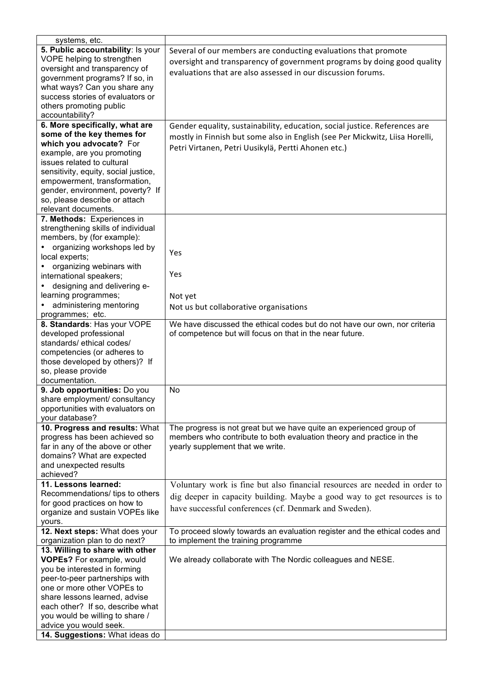| systems, etc.                        |                                                                              |
|--------------------------------------|------------------------------------------------------------------------------|
| 5. Public accountability: Is your    | Several of our members are conducting evaluations that promote               |
| VOPE helping to strengthen           | oversight and transparency of government programs by doing good quality      |
| oversight and transparency of        |                                                                              |
| government programs? If so, in       | evaluations that are also assessed in our discussion forums.                 |
| what ways? Can you share any         |                                                                              |
| success stories of evaluators or     |                                                                              |
| others promoting public              |                                                                              |
| accountability?                      |                                                                              |
| 6. More specifically, what are       | Gender equality, sustainability, education, social justice. References are   |
| some of the key themes for           |                                                                              |
| which you advocate? For              | mostly in Finnish but some also in English (see Per Mickwitz, Liisa Horelli, |
| example, are you promoting           | Petri Virtanen, Petri Uusikylä, Pertti Ahonen etc.)                          |
| issues related to cultural           |                                                                              |
|                                      |                                                                              |
| sensitivity, equity, social justice, |                                                                              |
| empowerment, transformation,         |                                                                              |
| gender, environment, poverty? If     |                                                                              |
| so, please describe or attach        |                                                                              |
| relevant documents.                  |                                                                              |
| 7. Methods: Experiences in           |                                                                              |
| strengthening skills of individual   |                                                                              |
| members, by (for example):           |                                                                              |
| organizing workshops led by          | Yes                                                                          |
| local experts;                       |                                                                              |
| organizing webinars with             |                                                                              |
| international speakers;              | Yes                                                                          |
| designing and delivering e-          |                                                                              |
| learning programmes;                 | Not yet                                                                      |
| administering mentoring              | Not us but collaborative organisations                                       |
| programmes; etc.                     |                                                                              |
| 8. Standards: Has your VOPE          | We have discussed the ethical codes but do not have our own, nor criteria    |
| developed professional               | of competence but will focus on that in the near future.                     |
| standards/ ethical codes/            |                                                                              |
| competencies (or adheres to          |                                                                              |
| those developed by others)? If       |                                                                              |
| so, please provide                   |                                                                              |
| documentation.                       |                                                                              |
| 9. Job opportunities: Do you         | <b>No</b>                                                                    |
| share employment/ consultancy        |                                                                              |
| opportunities with evaluators on     |                                                                              |
| your database?                       |                                                                              |
| 10. Progress and results: What       | The progress is not great but we have quite an experienced group of          |
| progress has been achieved so        | members who contribute to both evaluation theory and practice in the         |
| far in any of the above or other     | yearly supplement that we write.                                             |
| domains? What are expected           |                                                                              |
| and unexpected results               |                                                                              |
| achieved?                            |                                                                              |
| 11. Lessons learned:                 |                                                                              |
| Recommendations/ tips to others      | Voluntary work is fine but also financial resources are needed in order to   |
|                                      | dig deeper in capacity building. Maybe a good way to get resources is to     |
| for good practices on how to         | have successful conferences (cf. Denmark and Sweden).                        |
| organize and sustain VOPEs like      |                                                                              |
| yours.                               |                                                                              |
| 12. Next steps: What does your       | To proceed slowly towards an evaluation register and the ethical codes and   |
| organization plan to do next?        | to implement the training programme                                          |
| 13. Willing to share with other      |                                                                              |
| <b>VOPEs?</b> For example, would     | We already collaborate with The Nordic colleagues and NESE.                  |
| you be interested in forming         |                                                                              |
| peer-to-peer partnerships with       |                                                                              |
| one or more other VOPEs to           |                                                                              |
| share lessons learned, advise        |                                                                              |
| each other? If so, describe what     |                                                                              |
| you would be willing to share /      |                                                                              |
| advice you would seek.               |                                                                              |
| 14. Suggestions: What ideas do       |                                                                              |